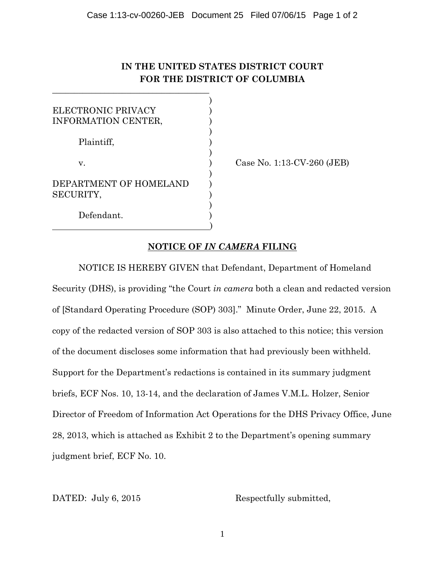## **IN THE UNITED STATES DISTRICT COURT FOR THE DISTRICT OF COLUMBIA**

| ELECTRONIC PRIVACY<br>INFORMATION CENTER, |  |
|-------------------------------------------|--|
| Plaintiff,                                |  |
| v.                                        |  |
| DEPARTMENT OF HOMELAND<br>SECURITY,       |  |
| Defendant.                                |  |

)

 $\overline{\phantom{a}}$  , where the contract of the contract of the contract of the contract of the contract of the contract of the contract of the contract of the contract of the contract of the contract of the contract of the contr

Case No. 1:13-CV-260 (JEB)

## **NOTICE OF** *IN CAMERA* **FILING**

NOTICE IS HEREBY GIVEN that Defendant, Department of Homeland Security (DHS), is providing "the Court *in camera* both a clean and redacted version of [Standard Operating Procedure (SOP) 303]." Minute Order, June 22, 2015. A copy of the redacted version of SOP 303 is also attached to this notice; this version of the document discloses some information that had previously been withheld. Support for the Department's redactions is contained in its summary judgment briefs, ECF Nos. 10, 13-14, and the declaration of James V.M.L. Holzer, Senior Director of Freedom of Information Act Operations for the DHS Privacy Office, June 28, 2013, which is attached as Exhibit 2 to the Department's opening summary judgment brief, ECF No. 10.

DATED: July 6, 2015 Respectfully submitted,